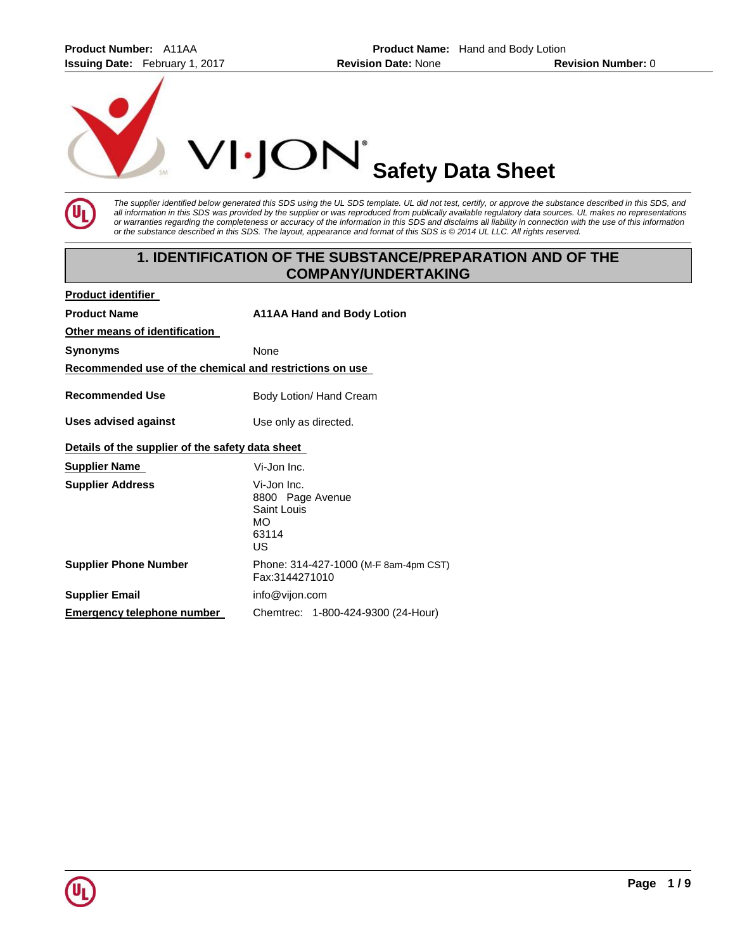**Product Number:** A11AA **Product Name:** Hand and Body Lotion **Issuing Date:** February 1, 2017 **Revision Date:** None **Revision Number:** 0





*The supplier identified below generated this SDS using the UL SDS template. UL did not test, certify, or approve the substance described in this SDS, and all information in this SDS was provided by the supplier or was reproduced from publically available regulatory data sources. UL makes no representations or warranties regarding the completeness or accuracy of the information in this SDS and disclaims all liability in connection with the use of this information or the substance described in this SDS. The layout, appearance and format of this SDS is © 2014 UL LLC. All rights reserved.* 

# **1. IDENTIFICATION OF THE SUBSTANCE/PREPARATION AND OF THE COMPANY/UNDERTAKING**

| <b>Product identifier</b>                               |                                                                     |
|---------------------------------------------------------|---------------------------------------------------------------------|
| <b>Product Name</b>                                     | <b>A11AA Hand and Body Lotion</b>                                   |
| Other means of identification                           |                                                                     |
| Synonyms                                                | <b>None</b>                                                         |
| Recommended use of the chemical and restrictions on use |                                                                     |
| <b>Recommended Use</b>                                  | Body Lotion/ Hand Cream                                             |
| Uses advised against                                    | Use only as directed.                                               |
| Details of the supplier of the safety data sheet        |                                                                     |
| <b>Supplier Name</b>                                    | Vi-Jon Inc.                                                         |
| <b>Supplier Address</b>                                 | Vi-Jon Inc.<br>8800 Page Avenue<br>Saint Louis<br>MO<br>63114<br>US |
| <b>Supplier Phone Number</b>                            | Phone: 314-427-1000 (M-F 8am-4pm CST)<br>Fax:3144271010             |
| <b>Supplier Email</b>                                   | info@vijon.com                                                      |
| Emergency telephone number                              | Chemtrec: 1-800-424-9300 (24-Hour)                                  |

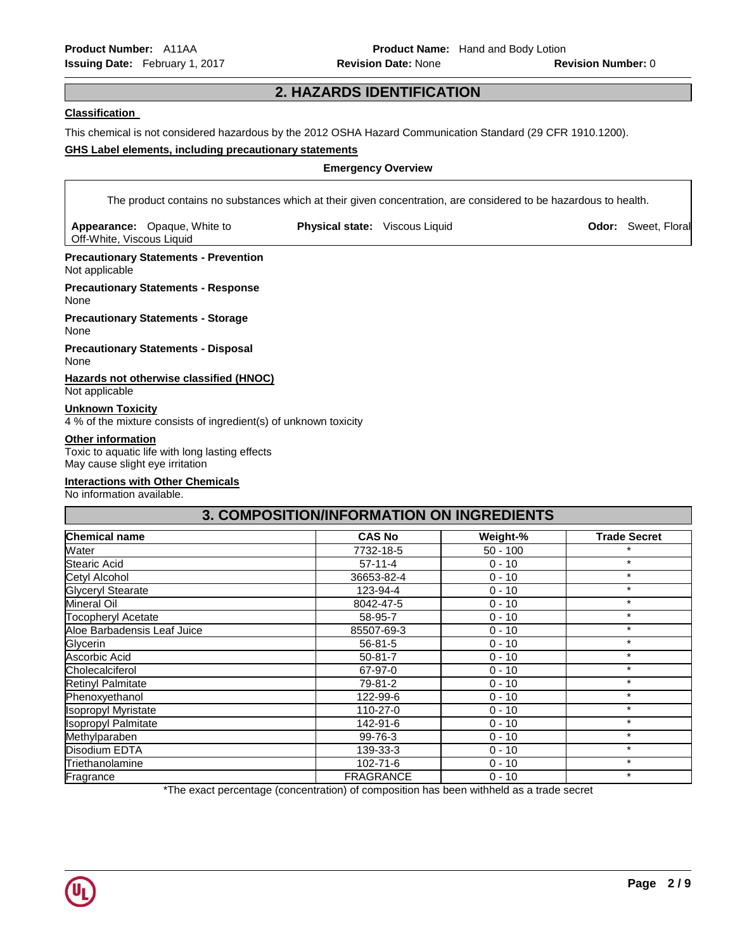# **2. HAZARDS IDENTIFICATION**

# **Classification**

This chemical is not considered hazardous by the 2012 OSHA Hazard Communication Standard (29 CFR 1910.1200).

## **GHS Label elements, including precautionary statements**

# **Emergency Overview**

The product contains no substances which at their given concentration, are considered to be hazardous to health.

**Appearance:** Opaque, White to Off-White, Viscous Liquid

**Physical state:** Viscous Liquid **Direction Codor: Sweet, Floral** Controllering Controllering Controllering Controllering Controllering Controllering Controllering Controllering Controllering Controllering Controllering Co

**Precautionary Statements - Prevention** Not applicable

**Precautionary Statements - Response** None

**Precautionary Statements - Storage**

None

**Precautionary Statements - Disposal** None

**Hazards not otherwise classified (HNOC)** Not applicable

## **Unknown Toxicity**

4 % of the mixture consists of ingredient(s) of unknown toxicity

## **Other information**

Toxic to aquatic life with long lasting effects May cause slight eye irritation

# **Interactions with Other Chemicals**

No information available.

| 3. COMPOSITION/INFORMATION ON INGREDIENTS |                  |            |                     |
|-------------------------------------------|------------------|------------|---------------------|
| <b>Chemical name</b>                      | <b>CAS No</b>    | Weight-%   | <b>Trade Secret</b> |
| Water                                     | 7732-18-5        | $50 - 100$ | $\star$             |
| Stearic Acid                              | $57-11-4$        | $0 - 10$   | $\star$             |
| Cetyl Alcohol                             | 36653-82-4       | $0 - 10$   | $\star$             |
| <b>Glyceryl Stearate</b>                  | 123-94-4         | $0 - 10$   | $\star$             |
| <b>Mineral Oil</b>                        | 8042-47-5        | $0 - 10$   | $\star$             |
| <b>Tocopheryl Acetate</b>                 | 58-95-7          | $0 - 10$   | $\star$             |
| Aloe Barbadensis Leaf Juice               | 85507-69-3       | $0 - 10$   | $\star$             |
| Glycerin                                  | $56 - 81 - 5$    | $0 - 10$   | $\star$             |
| Ascorbic Acid                             | $50 - 81 - 7$    | $0 - 10$   | $\star$             |
| Cholecalciferol                           | 67-97-0          | $0 - 10$   | $\star$             |
| <b>Retinyl Palmitate</b>                  | 79-81-2          | $0 - 10$   | $\star$             |
| Phenoxyethanol                            | 122-99-6         | $0 - 10$   | $\star$             |
| <b>Isopropyl Myristate</b>                | 110-27-0         | $0 - 10$   | $\star$             |
| <b>Isopropyl Palmitate</b>                | 142-91-6         | $0 - 10$   | $\star$             |
| Methylparaben                             | 99-76-3          | $0 - 10$   | $\star$             |
| Disodium EDTA                             | 139-33-3         | $0 - 10$   | $\star$             |
| Triethanolamine                           | 102-71-6         | $0 - 10$   | $\star$             |
| Fragrance                                 | <b>FRAGRANCE</b> | $0 - 10$   | $\star$             |

\*The exact percentage (concentration) of composition has been withheld as a trade secret

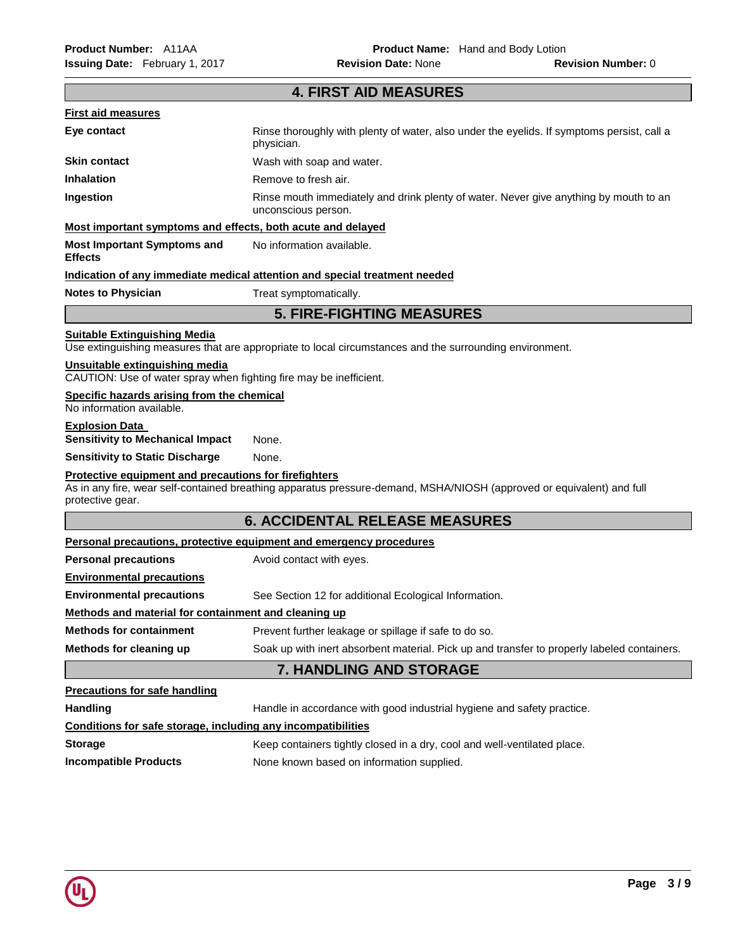|                                                                                                      | <b>4. FIRST AID MEASURES</b>                                                                                          |
|------------------------------------------------------------------------------------------------------|-----------------------------------------------------------------------------------------------------------------------|
| <b>First aid measures</b>                                                                            |                                                                                                                       |
| Eye contact                                                                                          | Rinse thoroughly with plenty of water, also under the eyelids. If symptoms persist, call a<br>physician.              |
| <b>Skin contact</b>                                                                                  | Wash with soap and water.                                                                                             |
| <b>Inhalation</b>                                                                                    | Remove to fresh air.                                                                                                  |
| Ingestion                                                                                            | Rinse mouth immediately and drink plenty of water. Never give anything by mouth to an<br>unconscious person.          |
| Most important symptoms and effects, both acute and delayed                                          |                                                                                                                       |
| <b>Most Important Symptoms and</b><br><b>Effects</b>                                                 | No information available.                                                                                             |
|                                                                                                      | Indication of any immediate medical attention and special treatment needed                                            |
| <b>Notes to Physician</b>                                                                            | Treat symptomatically.                                                                                                |
|                                                                                                      | <b>5. FIRE-FIGHTING MEASURES</b>                                                                                      |
| <b>Suitable Extinguishing Media</b>                                                                  | Use extinguishing measures that are appropriate to local circumstances and the surrounding environment.               |
| Unsuitable extinguishing media<br>CAUTION: Use of water spray when fighting fire may be inefficient. |                                                                                                                       |
| Specific hazards arising from the chemical<br>No information available.                              |                                                                                                                       |
| <b>Explosion Data</b><br><b>Sensitivity to Mechanical Impact</b>                                     | None.                                                                                                                 |
| <b>Sensitivity to Static Discharge</b>                                                               | None.                                                                                                                 |
| Protective equipment and precautions for firefighters                                                |                                                                                                                       |
| protective gear.                                                                                     | As in any fire, wear self-contained breathing apparatus pressure-demand, MSHA/NIOSH (approved or equivalent) and full |
|                                                                                                      | <b>6. ACCIDENTAL RELEASE MEASURES</b>                                                                                 |
|                                                                                                      | Personal precautions, protective equipment and emergency procedures                                                   |
| <b>Personal precautions</b>                                                                          | Avoid contact with eyes.                                                                                              |
| <b>Environmental precautions</b>                                                                     |                                                                                                                       |
| <b>Environmental precautions</b>                                                                     | See Section 12 for additional Ecological Information.                                                                 |
| Methods and material for containment and cleaning up                                                 |                                                                                                                       |
| <b>Methods for containment</b>                                                                       | Prevent further leakage or spillage if safe to do so.                                                                 |
| Methods for cleaning up                                                                              | Soak up with inert absorbent material. Pick up and transfer to properly labeled containers.                           |
|                                                                                                      | 7. HANDLING AND STORAGE                                                                                               |
| <b>Precautions for safe handling</b>                                                                 |                                                                                                                       |
| <b>Handling</b>                                                                                      | Handle in accordance with good industrial hygiene and safety practice.                                                |
| Conditions for safe storage, including any incompatibilities                                         |                                                                                                                       |
| <b>Storage</b>                                                                                       | Keep containers tightly closed in a dry, cool and well-ventilated place.                                              |
| <b>Incompatible Products</b>                                                                         | None known based on information supplied.                                                                             |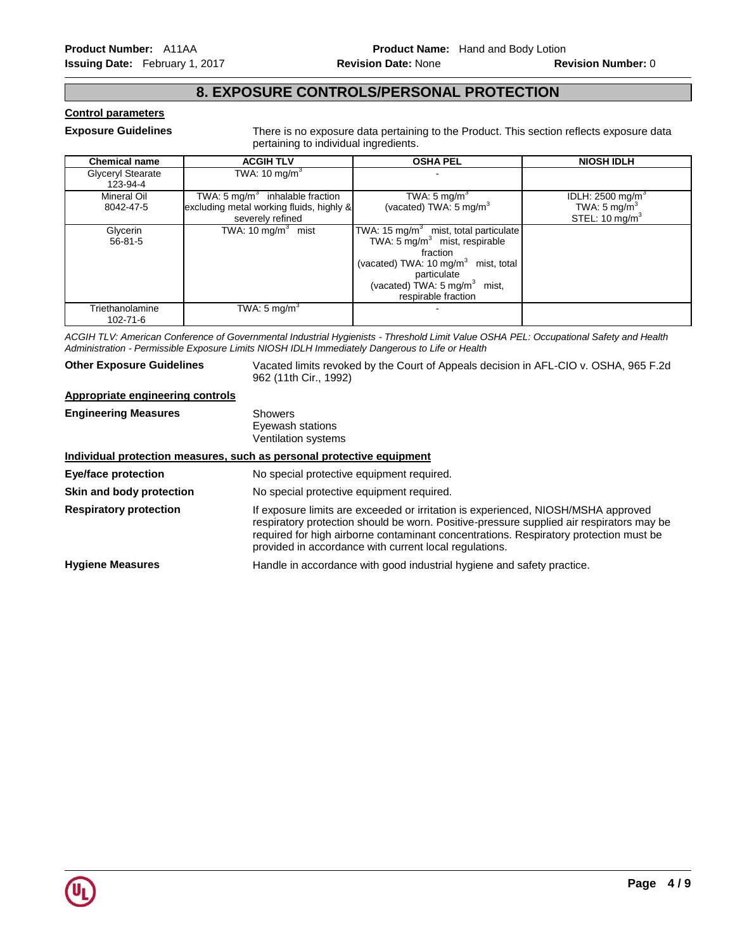# **8. EXPOSURE CONTROLS/PERSONAL PROTECTION**

# **Control parameters**

**Exposure Guidelines** There is no exposure data pertaining to the Product. This section reflects exposure data pertaining to individual ingredients.

| <b>Chemical name</b> | <b>ACGIH TLV</b>                           | <b>OSHA PEL</b>                                   | <b>NIOSH IDLH</b>              |
|----------------------|--------------------------------------------|---------------------------------------------------|--------------------------------|
| Glyceryl Stearate    | TWA: 10 mg/m $3$                           |                                                   |                                |
| 123-94-4             |                                            |                                                   |                                |
| Mineral Oil          | TWA: $5 \text{ ma/m}^3$ inhalable fraction | TWA: $5 \text{ mg/m}^3$                           | IDLH: $2500$ mg/m <sup>3</sup> |
| 8042-47-5            | excluding metal working fluids, highly &   | (vacated) TWA: 5 mg/m $3$                         | TWA: $5 \text{ mg/m}^3$        |
|                      | severely refined                           |                                                   | STEL: $10 \text{ mg/m}^3$      |
| Glycerin             | TWA: 10 mg/m <sup>3</sup> mist             | TWA: 15 mg/m <sup>3</sup> mist, total particulate |                                |
| $56 - 81 - 5$        |                                            | TWA: $5 \text{ mg/m}^3$ mist, respirable          |                                |
|                      |                                            | fraction                                          |                                |
|                      |                                            | (vacated) TWA: 10 mg/m <sup>3</sup> mist, total   |                                |
|                      |                                            | particulate                                       |                                |
|                      |                                            | (vacated) TWA: $5 \text{ mg/m}^3$ mist,           |                                |
|                      |                                            | respirable fraction                               |                                |
| Triethanolamine      | TWA: 5 mg/m $3$                            |                                                   |                                |
| 102-71-6             |                                            |                                                   |                                |

*ACGIH TLV: American Conference of Governmental Industrial Hygienists - Threshold Limit Value OSHA PEL: Occupational Safety and Health Administration - Permissible Exposure Limits NIOSH IDLH Immediately Dangerous to Life or Health* 

**Other Exposure Guidelines** Vacated limits revoked by the Court of Appeals decision in AFL-CIO v. OSHA, 965 F.2d 962 (11th Cir., 1992)

# **Appropriate engineering controls**

| <b>Engineering Measures</b>   | <b>Showers</b><br>Eyewash stations<br>Ventilation systems             |  |
|-------------------------------|-----------------------------------------------------------------------|--|
|                               | Individual protection measures, such as personal protective equipment |  |
| <b>Eye/face protection</b>    | No special protective equipment required.                             |  |
| Skin and body protection      | No special protective equipment required.                             |  |
| <b>Respiratory protection</b> | If exposure limits are exceeded or irritation is experienced          |  |

**Respiratory protection** If exposure limits are exceeded or irritation is experienced, NIOSH/MSHA approved respiratory protection should be worn. Positive-pressure supplied air respirators may be required for high airborne contaminant concentrations. Respiratory protection must be provided in accordance with current local regulations.

**Hygiene Measures** Handle in accordance with good industrial hygiene and safety practice.

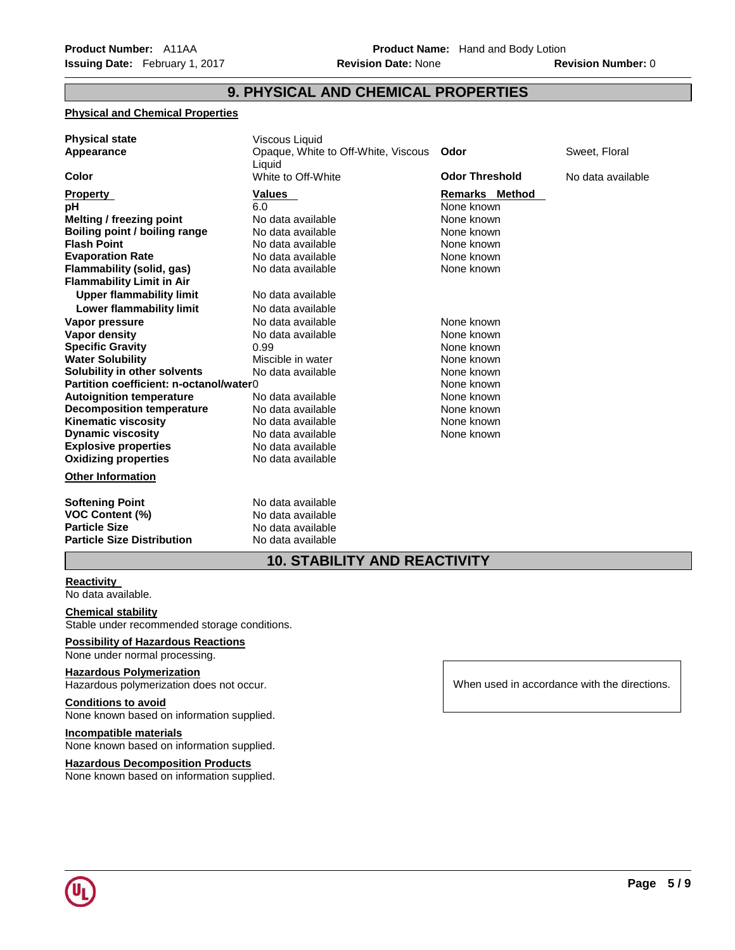# **9. PHYSICAL AND CHEMICAL PROPERTIES**

# **Physical and Chemical Properties**

| <b>Physical state</b><br>Appearance                                                                                                                                                                                                                                                                                                                                                                                                                                                                                                                                             | Viscous Liquid<br>Opaque, White to Off-White, Viscous<br>Liquid                                                                                                                                                                                                                                                                                         | Odor                                                                                                                                                                                                                                                  | Sweet, Floral     |
|---------------------------------------------------------------------------------------------------------------------------------------------------------------------------------------------------------------------------------------------------------------------------------------------------------------------------------------------------------------------------------------------------------------------------------------------------------------------------------------------------------------------------------------------------------------------------------|---------------------------------------------------------------------------------------------------------------------------------------------------------------------------------------------------------------------------------------------------------------------------------------------------------------------------------------------------------|-------------------------------------------------------------------------------------------------------------------------------------------------------------------------------------------------------------------------------------------------------|-------------------|
| <b>Color</b>                                                                                                                                                                                                                                                                                                                                                                                                                                                                                                                                                                    | White to Off-White                                                                                                                                                                                                                                                                                                                                      | <b>Odor Threshold</b>                                                                                                                                                                                                                                 | No data available |
| <b>Property</b><br>рH<br>Melting / freezing point<br>Boiling point / boiling range<br><b>Flash Point</b><br><b>Evaporation Rate</b><br>Flammability (solid, gas)<br><b>Flammability Limit in Air</b><br><b>Upper flammability limit</b><br>Lower flammability limit<br>Vapor pressure<br><b>Vapor density</b><br><b>Specific Gravity</b><br><b>Water Solubility</b><br>Solubility in other solvents<br>Partition coefficient: n-octanol/water0<br><b>Autoignition temperature</b><br><b>Decomposition temperature</b><br><b>Kinematic viscosity</b><br><b>Dynamic viscosity</b> | <b>Values</b><br>6.0<br>No data available<br>No data available<br>No data available<br>No data available<br>No data available<br>No data available<br>No data available<br>No data available<br>No data available<br>0.99<br>Miscible in water<br>No data available<br>No data available<br>No data available<br>No data available<br>No data available | <b>Remarks Method</b><br>None known<br>None known<br>None known<br>None known<br>None known<br>None known<br>None known<br>None known<br>None known<br>None known<br>None known<br>None known<br>None known<br>None known<br>None known<br>None known |                   |
| <b>Explosive properties</b>                                                                                                                                                                                                                                                                                                                                                                                                                                                                                                                                                     | No data available                                                                                                                                                                                                                                                                                                                                       |                                                                                                                                                                                                                                                       |                   |
| <b>Oxidizing properties</b>                                                                                                                                                                                                                                                                                                                                                                                                                                                                                                                                                     | No data available                                                                                                                                                                                                                                                                                                                                       |                                                                                                                                                                                                                                                       |                   |
| <b>Other Information</b>                                                                                                                                                                                                                                                                                                                                                                                                                                                                                                                                                        |                                                                                                                                                                                                                                                                                                                                                         |                                                                                                                                                                                                                                                       |                   |
| <b>Softening Point</b><br><b>VOC Content (%)</b><br><b>Particle Size</b><br><b>Particle Size Distribution</b>                                                                                                                                                                                                                                                                                                                                                                                                                                                                   | No data available<br>No data available<br>No data available<br>No data available                                                                                                                                                                                                                                                                        |                                                                                                                                                                                                                                                       |                   |

# **10. STABILITY AND REACTIVITY**

## **Reactivity**

No data available.

# **Chemical stability**

Stable under recommended storage conditions.

# **Possibility of Hazardous Reactions**

None under normal processing.

# **Hazardous Polymerization**

Hazardous polymerization does not occur.

# **Conditions to avoid**

None known based on information supplied.

# **Incompatible materials**

None known based on information supplied.

## **Hazardous Decomposition Products**

None known based on information supplied.

When used in accordance with the directions.

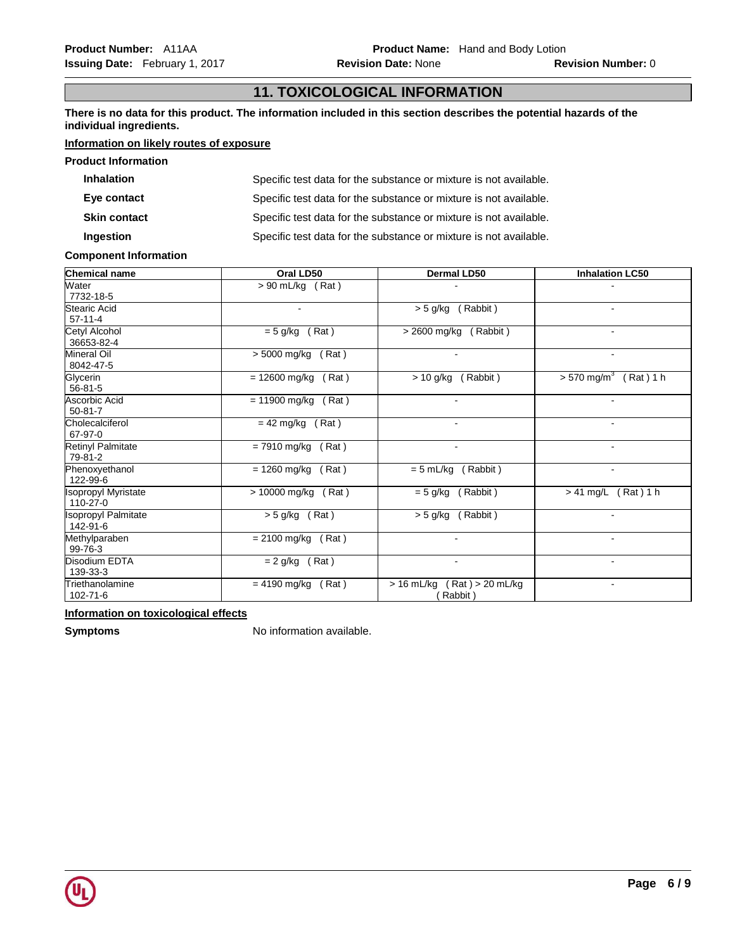# **11. TOXICOLOGICAL INFORMATION**

**There is no data for this product. The information included in this section describes the potential hazards of the individual ingredients.**

# **Information on likely routes of exposure**

| <b>Product Information</b> |                                                                   |
|----------------------------|-------------------------------------------------------------------|
| <b>Inhalation</b>          | Specific test data for the substance or mixture is not available. |
| Eye contact                | Specific test data for the substance or mixture is not available. |
| <b>Skin contact</b>        | Specific test data for the substance or mixture is not available. |
| Ingestion                  | Specific test data for the substance or mixture is not available. |

### **Component Information**

| <b>Chemical name</b>                   | Oral LD50                | Dermal LD50                                  | <b>Inhalation LC50</b>                   |
|----------------------------------------|--------------------------|----------------------------------------------|------------------------------------------|
| Water<br>7732-18-5                     | $\sqrt{590}$ mL/kg (Rat) |                                              |                                          |
| <b>Stearic Acid</b><br>$57-11-4$       |                          | (Rabbit)<br>$> 5$ g/kg                       |                                          |
| Cetyl Alcohol<br>36653-82-4            | $= 5$ g/kg<br>(Rat)      | (Rabbit)<br>$> 2600$ mg/kg                   |                                          |
| Mineral Oil<br>8042-47-5               | > 5000 mg/kg<br>(Rat)    |                                              |                                          |
| Glycerin<br>$56 - 81 - 5$              | $= 12600$ mg/kg<br>(Rat) | $> 10$ g/kg<br>(Rabbit)                      | $> 570$ mg/m <sup>3</sup><br>$(Rat)$ 1 h |
| Ascorbic Acid<br>$50 - 81 - 7$         | $= 11900$ mg/kg (Rat)    |                                              |                                          |
| Cholecalciferol<br>67-97-0             | $= 42$ mg/kg<br>(Rat)    | $\overline{a}$                               |                                          |
| <b>Retinyl Palmitate</b><br>79-81-2    | = 7910 mg/kg<br>(Rat)    | $\blacksquare$                               | $\blacksquare$                           |
| Phenoxyethanol<br>122-99-6             | = 1260 mg/kg<br>(Rat)    | $= 5$ mL/kg (Rabbit)                         |                                          |
| <b>Isopropyl Myristate</b><br>110-27-0 | > 10000 mg/kg<br>(Rat)   | $= 5$ g/kg<br>(Rabbit)                       | > 41 mg/L<br>$(Rat)$ 1 h                 |
| <b>Isopropyl Palmitate</b><br>142-91-6 | $> 5$ g/kg (Rat)         | > 5 g/kg<br>(Rabbit)                         |                                          |
| Methylparaben<br>99-76-3               | $= 2100$ mg/kg<br>(Rat)  | ۰                                            | $\blacksquare$                           |
| Disodium EDTA<br>139-33-3              | $= 2$ g/kg<br>(Rat)      | $\blacksquare$                               | $\blacksquare$                           |
| Triethanolamine<br>102-71-6            | $= 4190$ mg/kg<br>(Rat)  | $(Rat) > 20$ mL/kg<br>$>16$ mL/kg<br>Rabbit) | $\sim$                                   |

**Information on toxicological effects**

**Symptoms** No information available.

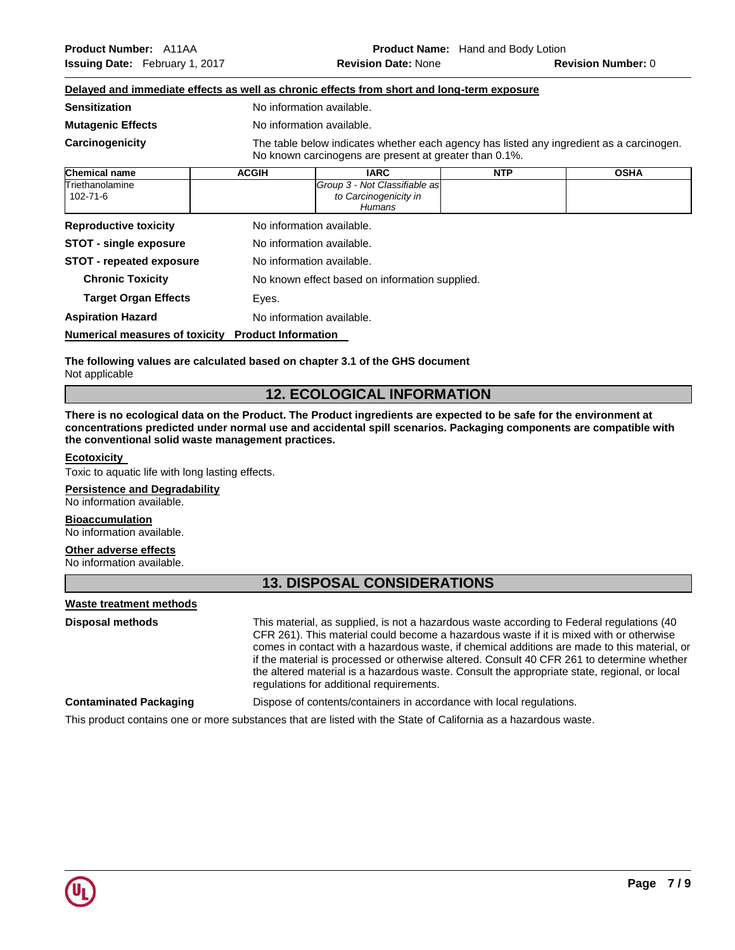|                             |              | Delayed and immediate effects as well as chronic effects from short and long-term exposure                                                         |            |             |
|-----------------------------|--------------|----------------------------------------------------------------------------------------------------------------------------------------------------|------------|-------------|
| <b>Sensitization</b>        |              | No information available.                                                                                                                          |            |             |
| <b>Mutagenic Effects</b>    |              | No information available.                                                                                                                          |            |             |
| Carcinogenicity             |              | The table below indicates whether each agency has listed any ingredient as a carcinogen.<br>No known carcinogens are present at greater than 0.1%. |            |             |
| <b>Chemical name</b>        | <b>ACGIH</b> | <b>IARC</b>                                                                                                                                        | <b>NTP</b> | <b>OSHA</b> |
| Triethanolamine<br>102-71-6 |              | Group 3 - Not Classifiable as<br>to Carcinogenicity in<br><b>Humans</b>                                                                            |            |             |

| <b>Reproductive toxicity</b>    | No information available.                      |
|---------------------------------|------------------------------------------------|
| <b>STOT - single exposure</b>   | No information available.                      |
| <b>STOT - repeated exposure</b> | No information available.                      |
| <b>Chronic Toxicity</b>         | No known effect based on information supplied. |
| <b>Target Organ Effects</b>     | Eyes.                                          |
| <b>Aspiration Hazard</b>        | No information available.                      |
|                                 |                                                |

**Numerical measures of toxicity Product Information** 

**The following values are calculated based on chapter 3.1 of the GHS document** Not applicable

# **12. ECOLOGICAL INFORMATION**

**There is no ecological data on the Product. The Product ingredients are expected to be safe for the environment at concentrations predicted under normal use and accidental spill scenarios. Packaging components are compatible with the conventional solid waste management practices.**

### **Ecotoxicity**

Toxic to aquatic life with long lasting effects.

## **Persistence and Degradability**

No information available.

## **Bioaccumulation**

No information available.

## **Other adverse effects**

No information available.

# **13. DISPOSAL CONSIDERATIONS**

### **Waste treatment methods**

**Disposal methods** This material, as supplied, is not a hazardous waste according to Federal regulations (40 CFR 261). This material could become a hazardous waste if it is mixed with or otherwise comes in contact with a hazardous waste, if chemical additions are made to this material, or if the material is processed or otherwise altered. Consult 40 CFR 261 to determine whether the altered material is a hazardous waste. Consult the appropriate state, regional, or local regulations for additional requirements.

**Contaminated Packaging** Dispose of contents/containers in accordance with local regulations.

This product contains one or more substances that are listed with the State of California as a hazardous waste.

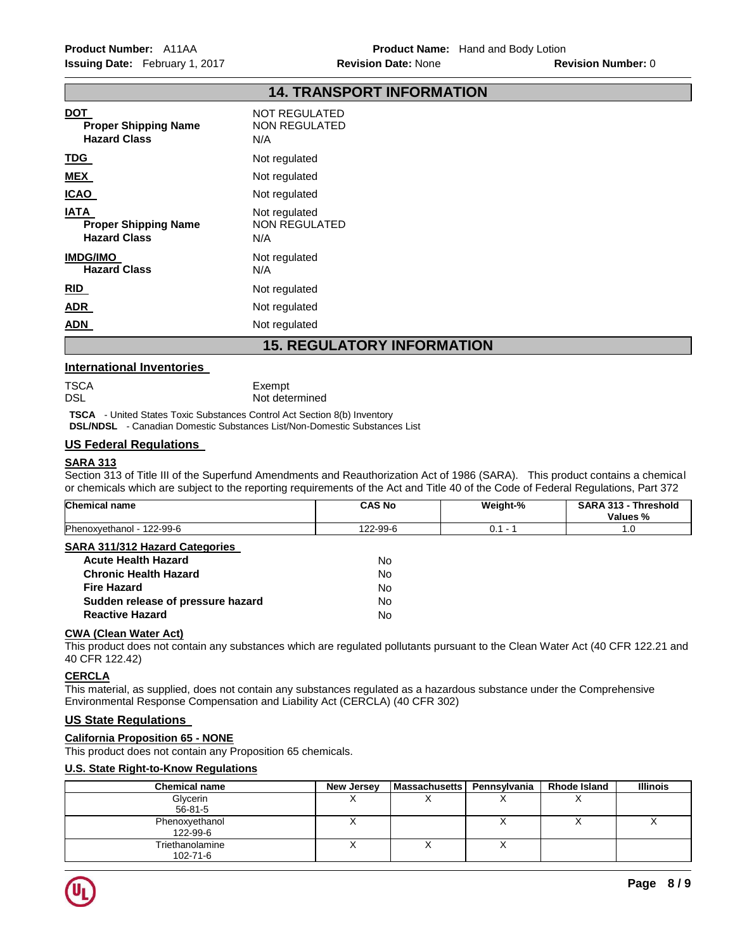|                                                                   | 14. IKANSPUKI INFUKWAIIUN                           |
|-------------------------------------------------------------------|-----------------------------------------------------|
| <b>DOT</b><br><b>Proper Shipping Name</b><br><b>Hazard Class</b>  | <b>NOT REGULATED</b><br><b>NON REGULATED</b><br>N/A |
| <b>TDG</b>                                                        | Not regulated                                       |
| <b>MEX</b>                                                        | Not regulated                                       |
| <u>ICAO</u>                                                       | Not regulated                                       |
| <b>IATA</b><br><b>Proper Shipping Name</b><br><b>Hazard Class</b> | Not regulated<br><b>NON REGULATED</b><br>N/A        |
| <b>IMDG/IMO</b><br><b>Hazard Class</b>                            | Not regulated<br>N/A                                |
| RID                                                               | Not regulated                                       |
| <b>ADR</b>                                                        | Not regulated                                       |
| <u>ADN</u>                                                        | Not regulated                                       |
| <b>15. REGULATORY INFORMATION</b>                                 |                                                     |

**14. TRANSPORT INFORMATION** 

## **International Inventories**

| TSCA | Exempt         |
|------|----------------|
| DSL  | Not determined |

**TSCA** - United States Toxic Substances Control Act Section 8(b) Inventory

**DSL/NDSL** - Canadian Domestic Substances List/Non-Domestic Substances List

# **US Federal Regulations**

## **SARA 313**

Section 313 of Title III of the Superfund Amendments and Reauthorization Act of 1986 (SARA). This product contains a chemical or chemicals which are subject to the reporting requirements of the Act and Title 40 of the Code of Federal Regulations, Part 372

| <b>Chemical name</b>                  | <b>CAS No</b> | Weight-%  | SARA 313 - Threshold<br>Values % |
|---------------------------------------|---------------|-----------|----------------------------------|
| Phenoxyethanol - 122-99-6             | 122-99-6      | $0.1 - 1$ | 1.0                              |
| <b>SARA 311/312 Hazard Categories</b> |               |           |                                  |
| <b>Acute Health Hazard</b>            | No            |           |                                  |
| <b>Chronic Health Hazard</b>          | No            |           |                                  |
| <b>Fire Hazard</b>                    | No            |           |                                  |
| Sudden release of pressure hazard     | No            |           |                                  |
| <b>Reactive Hazard</b>                | No            |           |                                  |

# **CWA (Clean Water Act)**

This product does not contain any substances which are regulated pollutants pursuant to the Clean Water Act (40 CFR 122.21 and 40 CFR 122.42)

# **CERCLA**

This material, as supplied, does not contain any substances regulated as a hazardous substance under the Comprehensive Environmental Response Compensation and Liability Act (CERCLA) (40 CFR 302)

# **US State Regulations**

## **California Proposition 65 - NONE**

This product does not contain any Proposition 65 chemicals.

# **U.S. State Right-to-Know Regulations**

| <b>Chemical name</b> | New Jersey | <b>Massachusetts</b> | Pennsylvania | <b>Rhode Island</b> | Illinois |
|----------------------|------------|----------------------|--------------|---------------------|----------|
| Glycerin             |            |                      |              |                     |          |
| $56 - 81 - 5$        |            |                      |              |                     |          |
| Phenoxyethanol       |            |                      |              |                     |          |
| 122-99-6             |            |                      |              |                     |          |
| Triethanolamine      |            |                      |              |                     |          |
| 102-71-6             |            |                      |              |                     |          |